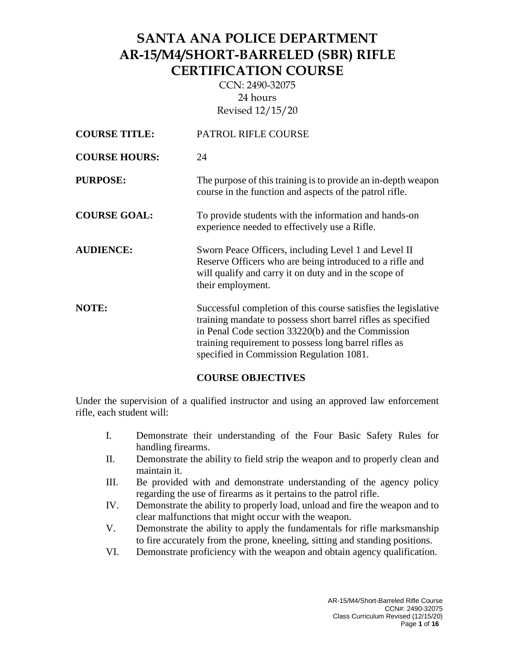CCN: 2490-32075 24 hours Revised 12/15/20

| <b>COURSE TITLE:</b> | PATROL RIFLE COURSE                                                                                                                                                                                                                                                                      |
|----------------------|------------------------------------------------------------------------------------------------------------------------------------------------------------------------------------------------------------------------------------------------------------------------------------------|
| <b>COURSE HOURS:</b> | 24                                                                                                                                                                                                                                                                                       |
| <b>PURPOSE:</b>      | The purpose of this training is to provide an in-depth weapon<br>course in the function and aspects of the patrol rifle.                                                                                                                                                                 |
| <b>COURSE GOAL:</b>  | To provide students with the information and hands-on<br>experience needed to effectively use a Rifle.                                                                                                                                                                                   |
| <b>AUDIENCE:</b>     | Sworn Peace Officers, including Level 1 and Level II<br>Reserve Officers who are being introduced to a rifle and<br>will qualify and carry it on duty and in the scope of<br>their employment.                                                                                           |
| <b>NOTE:</b>         | Successful completion of this course satisfies the legislative<br>training mandate to possess short barrel rifles as specified<br>in Penal Code section 33220(b) and the Commission<br>training requirement to possess long barrel rifles as<br>specified in Commission Regulation 1081. |

### **COURSE OBJECTIVES**

Under the supervision of a qualified instructor and using an approved law enforcement rifle, each student will:

- I. Demonstrate their understanding of the Four Basic Safety Rules for handling firearms.
- II. Demonstrate the ability to field strip the weapon and to properly clean and maintain it.
- III. Be provided with and demonstrate understanding of the agency policy regarding the use of firearms as it pertains to the patrol rifle.
- IV. Demonstrate the ability to properly load, unload and fire the weapon and to clear malfunctions that might occur with the weapon.
- V. Demonstrate the ability to apply the fundamentals for rifle marksmanship to fire accurately from the prone, kneeling, sitting and standing positions.
- VI. Demonstrate proficiency with the weapon and obtain agency qualification.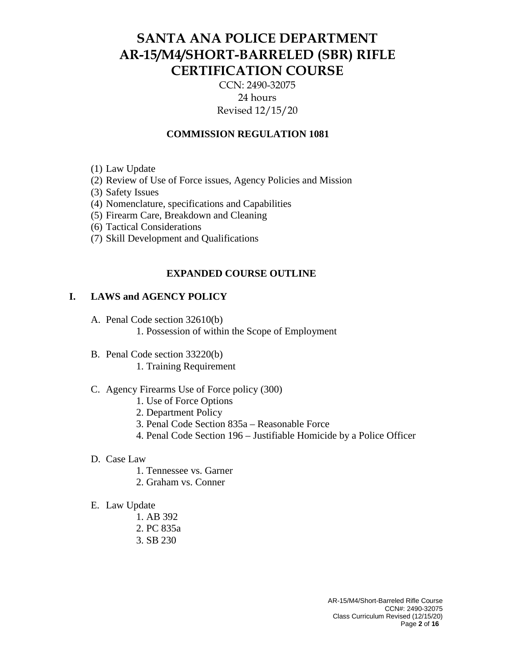CCN: 2490-32075 24 hours Revised 12/15/20

### **COMMISSION REGULATION 1081**

- (1) Law Update
- (2) Review of Use of Force issues, Agency Policies and Mission
- (3) Safety Issues
- (4) Nomenclature, specifications and Capabilities
- (5) Firearm Care, Breakdown and Cleaning
- (6) Tactical Considerations
- (7) Skill Development and Qualifications

### **EXPANDED COURSE OUTLINE**

### **I. LAWS and AGENCY POLICY**

- A. Penal Code section 32610(b)
	- 1. Possession of within the Scope of Employment
- B. Penal Code section 33220(b)
	- 1. Training Requirement

### C. Agency Firearms Use of Force policy (300)

- 1. Use of Force Options
- 2. Department Policy
- 3. Penal Code Section 835a Reasonable Force
- 4. Penal Code Section 196 Justifiable Homicide by a Police Officer
- D. Case Law
	- 1. Tennessee vs. Garner
	- 2. Graham vs. Conner
- E. Law Update
	- 1. AB 392
	- 2. PC 835a
	- 3. SB 230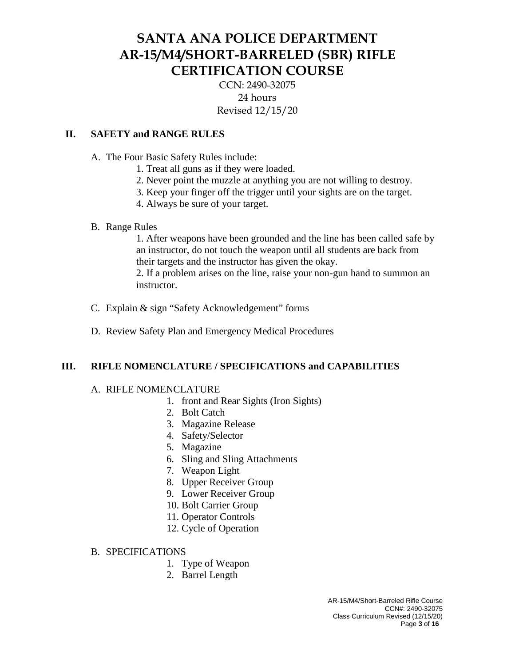CCN: 2490-32075 24 hours Revised 12/15/20

## **II. SAFETY and RANGE RULES**

- A. The Four Basic Safety Rules include:
	- 1. Treat all guns as if they were loaded.
	- 2. Never point the muzzle at anything you are not willing to destroy.
	- 3. Keep your finger off the trigger until your sights are on the target.
	- 4. Always be sure of your target.

### B. Range Rules

1. After weapons have been grounded and the line has been called safe by an instructor, do not touch the weapon until all students are back from their targets and the instructor has given the okay.

2. If a problem arises on the line, raise your non-gun hand to summon an instructor.

- C. Explain & sign "Safety Acknowledgement" forms
- D. Review Safety Plan and Emergency Medical Procedures

### **III. RIFLE NOMENCLATURE / SPECIFICATIONS and CAPABILITIES**

### A. RIFLE NOMENCLATURE

- 1. front and Rear Sights (Iron Sights)
- 2. Bolt Catch
- 3. Magazine Release
- 4. Safety/Selector
- 5. Magazine
- 6. Sling and Sling Attachments
- 7. Weapon Light
- 8. Upper Receiver Group
- 9. Lower Receiver Group
- 10. Bolt Carrier Group
- 11. Operator Controls
- 12. Cycle of Operation

### B. SPECIFICATIONS

- 1. Type of Weapon
- 2. Barrel Length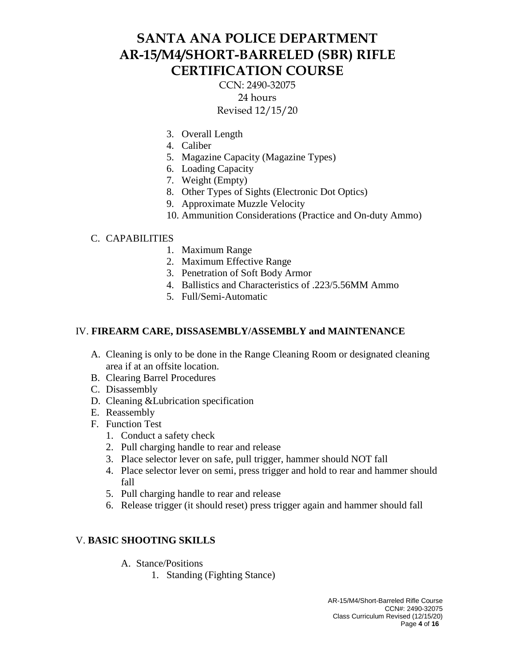CCN: 2490-32075 24 hours Revised 12/15/20

- 3. Overall Length
- 4. Caliber
- 5. Magazine Capacity (Magazine Types)
- 6. Loading Capacity
- 7. Weight (Empty)
- 8. Other Types of Sights (Electronic Dot Optics)
- 9. Approximate Muzzle Velocity
- 10. Ammunition Considerations (Practice and On-duty Ammo)

### C. CAPABILITIES

- 1. Maximum Range
- 2. Maximum Effective Range
- 3. Penetration of Soft Body Armor
- 4. Ballistics and Characteristics of .223/5.56MM Ammo
- 5. Full/Semi-Automatic

### IV. **FIREARM CARE, DISSASEMBLY/ASSEMBLY and MAINTENANCE**

- A. Cleaning is only to be done in the Range Cleaning Room or designated cleaning area if at an offsite location.
- B. Clearing Barrel Procedures
- C. Disassembly
- D. Cleaning &Lubrication specification
- E. Reassembly
- F. Function Test
	- 1. Conduct a safety check
	- 2. Pull charging handle to rear and release
	- 3. Place selector lever on safe, pull trigger, hammer should NOT fall
	- 4. Place selector lever on semi, press trigger and hold to rear and hammer should fall
	- 5. Pull charging handle to rear and release
	- 6. Release trigger (it should reset) press trigger again and hammer should fall

### V. **BASIC SHOOTING SKILLS**

- A. Stance/Positions
	- 1. Standing (Fighting Stance)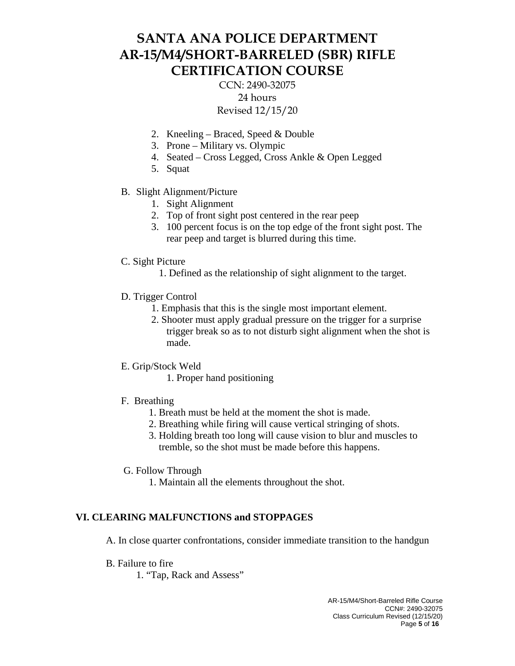CCN: 2490-32075 24 hours Revised 12/15/20

- 2. Kneeling Braced, Speed & Double
- 3. Prone Military vs. Olympic
- 4. Seated Cross Legged, Cross Ankle & Open Legged
- 5. Squat
- B. Slight Alignment/Picture
	- 1. Sight Alignment
	- 2. Top of front sight post centered in the rear peep
	- 3. 100 percent focus is on the top edge of the front sight post. The rear peep and target is blurred during this time.
- C. Sight Picture
	- 1. Defined as the relationship of sight alignment to the target.
- D. Trigger Control
	- 1. Emphasis that this is the single most important element.
	- 2. Shooter must apply gradual pressure on the trigger for a surprise trigger break so as to not disturb sight alignment when the shot is made.
- E. Grip/Stock Weld
	- 1. Proper hand positioning
- F. Breathing
	- 1. Breath must be held at the moment the shot is made.
	- 2. Breathing while firing will cause vertical stringing of shots.
	- 3. Holding breath too long will cause vision to blur and muscles to tremble, so the shot must be made before this happens.
- G. Follow Through
	- 1. Maintain all the elements throughout the shot.

### **VI. CLEARING MALFUNCTIONS and STOPPAGES**

A. In close quarter confrontations, consider immediate transition to the handgun

- B. Failure to fire
	- 1. "Tap, Rack and Assess"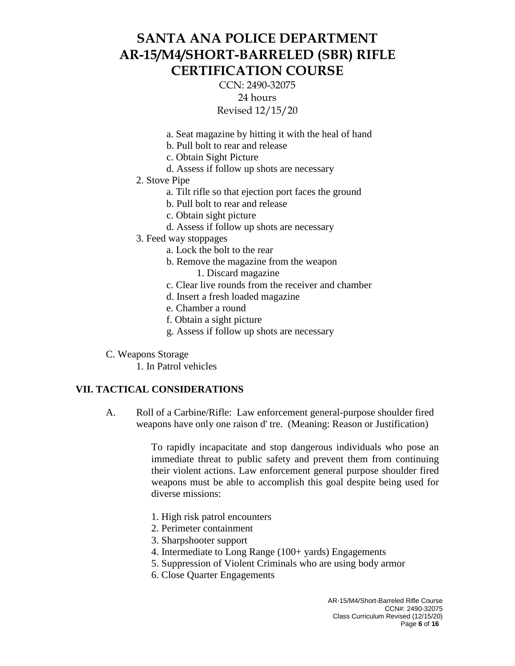CCN: 2490-32075 24 hours Revised 12/15/20

- a. Seat magazine by hitting it with the heal of hand
- b. Pull bolt to rear and release
- c. Obtain Sight Picture
- d. Assess if follow up shots are necessary
- 2. Stove Pipe
	- a. Tilt rifle so that ejection port faces the ground
	- b. Pull bolt to rear and release
	- c. Obtain sight picture
	- d. Assess if follow up shots are necessary
- 3. Feed way stoppages
	- a. Lock the bolt to the rear
	- b. Remove the magazine from the weapon
		- 1. Discard magazine
	- c. Clear live rounds from the receiver and chamber
	- d. Insert a fresh loaded magazine
	- e. Chamber a round
	- f. Obtain a sight picture
	- g. Assess if follow up shots are necessary
- C. Weapons Storage
	- 1. In Patrol vehicles

### **VII. TACTICAL CONSIDERATIONS**

A. Roll of a Carbine/Rifle: Law enforcement general-purpose shoulder fired weapons have only one raison d' tre. (Meaning: Reason or Justification)

> To rapidly incapacitate and stop dangerous individuals who pose an immediate threat to public safety and prevent them from continuing their violent actions. Law enforcement general purpose shoulder fired weapons must be able to accomplish this goal despite being used for diverse missions:

- 1. High risk patrol encounters
- 2. Perimeter containment
- 3. Sharpshooter support
- 4. Intermediate to Long Range (100+ yards) Engagements
- 5. Suppression of Violent Criminals who are using body armor
- 6. Close Quarter Engagements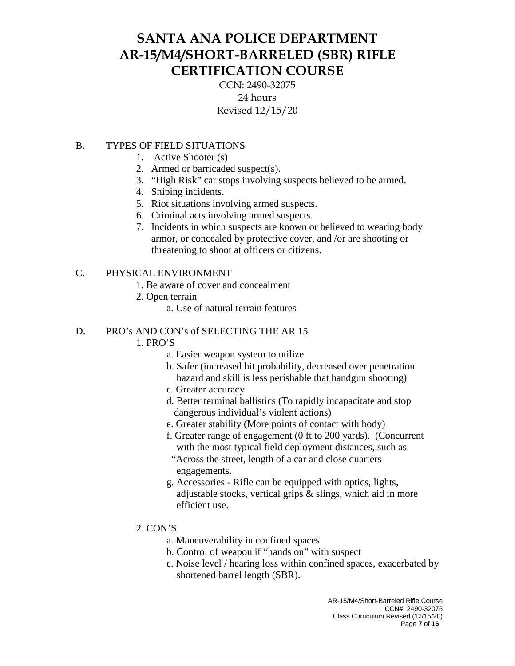CCN: 2490-32075 24 hours Revised 12/15/20

## B. TYPES OF FIELD SITUATIONS

- 1. Active Shooter (s)
- 2. Armed or barricaded suspect(s).
- 3. "High Risk" car stops involving suspects believed to be armed.
- 4. Sniping incidents.
- 5. Riot situations involving armed suspects.
- 6. Criminal acts involving armed suspects.
- 7. Incidents in which suspects are known or believed to wearing body armor, or concealed by protective cover, and /or are shooting or threatening to shoot at officers or citizens.

## C. PHYSICAL ENVIRONMENT

- 1. Be aware of cover and concealment
- 2. Open terrain
	- a. Use of natural terrain features

## D. PRO's AND CON's of SELECTING THE AR 15

## 1. PRO'S

- a. Easier weapon system to utilize
- b. Safer (increased hit probability, decreased over penetration hazard and skill is less perishable that handgun shooting)
- c. Greater accuracy
- d. Better terminal ballistics (To rapidly incapacitate and stop dangerous individual's violent actions)
- e. Greater stability (More points of contact with body)
- f. Greater range of engagement (0 ft to 200 yards). (Concurrent with the most typical field deployment distances, such as "Across the street, length of a car and close quarters engagements.
- g. Accessories Rifle can be equipped with optics, lights, adjustable stocks, vertical grips & slings, which aid in more efficient use.
- 2. CON'S
	- a. Maneuverability in confined spaces
	- b. Control of weapon if "hands on" with suspect
	- c. Noise level / hearing loss within confined spaces, exacerbated by shortened barrel length (SBR).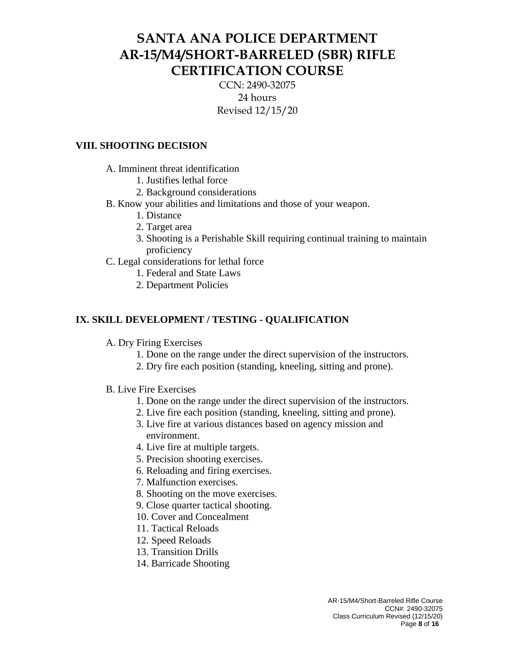CCN: 2490-32075 24 hours Revised 12/15/20

## **VIII. SHOOTING DECISION**

A. Imminent threat identification

- 1. Justifies lethal force
- 2. Background considerations
- B. Know your abilities and limitations and those of your weapon.
	- 1. Distance
	- 2. Target area
	- 3. Shooting is a Perishable Skill requiring continual training to maintain proficiency
- C. Legal considerations for lethal force
	- 1. Federal and State Laws
	- 2. Department Policies

## **IX. SKILL DEVELOPMENT / TESTING - QUALIFICATION**

- A. Dry Firing Exercises
	- 1. Done on the range under the direct supervision of the instructors.
	- 2. Dry fire each position (standing, kneeling, sitting and prone).
- B. Live Fire Exercises
	- 1. Done on the range under the direct supervision of the instructors.
	- 2. Live fire each position (standing, kneeling, sitting and prone).
	- 3. Live fire at various distances based on agency mission and environment.
	- 4. Live fire at multiple targets.
	- 5. Precision shooting exercises.
	- 6. Reloading and firing exercises.
	- 7. Malfunction exercises.
	- 8. Shooting on the move exercises.
	- 9. Close quarter tactical shooting.
	- 10. Cover and Concealment
	- 11. Tactical Reloads
	- 12. Speed Reloads
	- 13. Transition Drills
	- 14. Barricade Shooting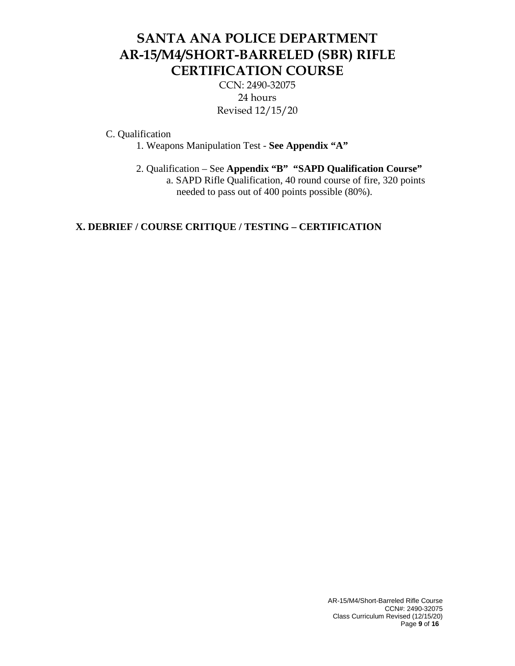CCN: 2490-32075 24 hours Revised 12/15/20

C. Qualification

1. Weapons Manipulation Test - **See Appendix "A"**

2. Qualification – See **Appendix "B" "SAPD Qualification Course"** a. SAPD Rifle Qualification, 40 round course of fire, 320 points

needed to pass out of 400 points possible (80%).

## **X. DEBRIEF / COURSE CRITIQUE / TESTING – CERTIFICATION**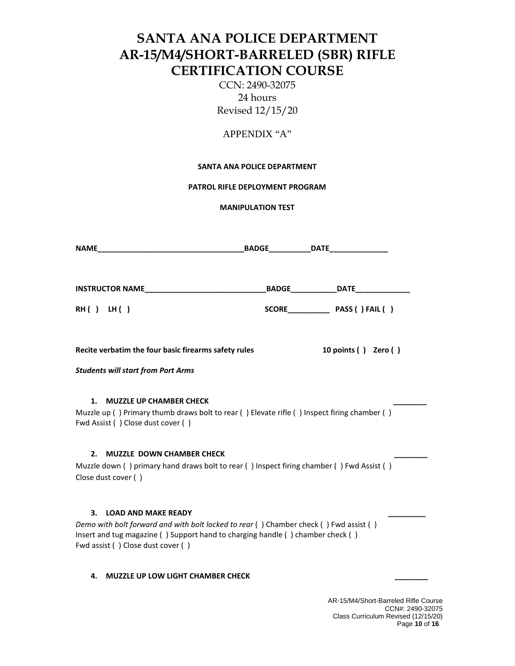CCN: 2490-32075 24 hours Revised 12/15/20

### APPENDIX "A"

#### **SANTA ANA POLICE DEPARTMENT**

**PATROL RIFLE DEPLOYMENT PROGRAM**

**MANIPULATION TEST**

| <b>NAME</b>                                                                                                                                                                                                                                      |                                            |
|--------------------------------------------------------------------------------------------------------------------------------------------------------------------------------------------------------------------------------------------------|--------------------------------------------|
|                                                                                                                                                                                                                                                  | __BADGE______________DATE_________________ |
| RH() LH()                                                                                                                                                                                                                                        | SCORE PASS () FAIL ()                      |
| Recite verbatim the four basic firearms safety rules                                                                                                                                                                                             | 10 points () Zero ()                       |
| <b>Students will start from Port Arms</b>                                                                                                                                                                                                        |                                            |
| <b>MUZZLE UP CHAMBER CHECK</b><br>1.<br>Muzzle up () Primary thumb draws bolt to rear () Elevate rifle () Inspect firing chamber ()<br>Fwd Assist () Close dust cover ()                                                                         |                                            |
| 2.<br><b>MUZZLE DOWN CHAMBER CHECK</b><br>Muzzle down () primary hand draws bolt to rear () Inspect firing chamber () Fwd Assist ()<br>Close dust cover ()                                                                                       |                                            |
| 3.<br><b>LOAD AND MAKE READY</b><br>Demo with bolt forward and with bolt locked to rear () Chamber check () Fwd assist ()<br>Insert and tug magazine () Support hand to charging handle () chamber check ()<br>Fwd assist () Close dust cover () |                                            |
| <b>MUZZLE UP LOW LIGHT CHAMBER CHECK</b><br>4.                                                                                                                                                                                                   |                                            |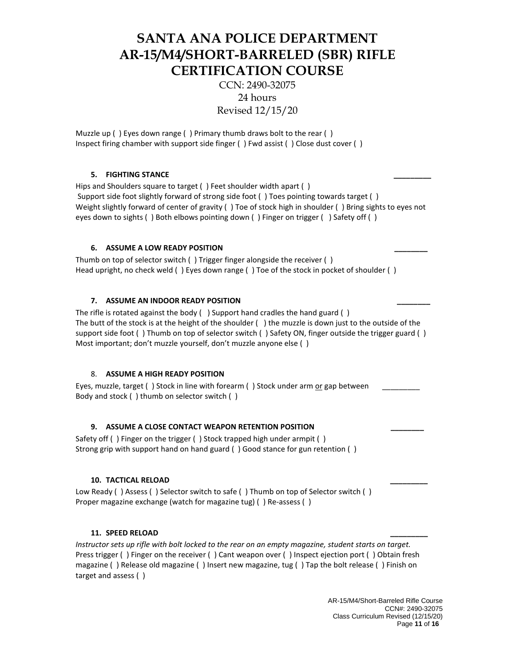CCN: 2490-32075 24 hours Revised 12/15/20

Muzzle up ( ) Eyes down range ( ) Primary thumb draws bolt to the rear ( ) Inspect firing chamber with support side finger ( ) Fwd assist ( ) Close dust cover ( )

#### **5. FIGHTING STANCE \_\_\_\_\_\_\_\_\_**

Hips and Shoulders square to target ( ) Feet shoulder width apart ( ) Support side foot slightly forward of strong side foot ( ) Toes pointing towards target ( ) Weight slightly forward of center of gravity ( ) Toe of stock high in shoulder ( ) Bring sights to eyes not eyes down to sights ( ) Both elbows pointing down ( ) Finger on trigger ( ) Safety off ( )

#### **6. ASSUME A LOW READY POSITION**

Thumb on top of selector switch ( ) Trigger finger alongside the receiver ( ) Head upright, no check weld ( ) Eyes down range ( ) Toe of the stock in pocket of shoulder ( )

#### **7. ASSUME AN INDOOR READY POSITION**

The rifle is rotated against the body ( ) Support hand cradles the hand guard ( ) The butt of the stock is at the height of the shoulder ( ) the muzzle is down just to the outside of the support side foot ( ) Thumb on top of selector switch ( ) Safety ON, finger outside the trigger guard ( ) Most important; don't muzzle yourself, don't muzzle anyone else ( )

#### 8. **ASSUME A HIGH READY POSITION**

Eyes, muzzle, target ( ) Stock in line with forearm ( ) Stock under arm or gap between \_\_\_\_\_\_\_\_\_ Body and stock ( ) thumb on selector switch ( )

#### 9. **ASSUME A CLOSE CONTACT WEAPON RETENTION POSITION**

Safety off ( ) Finger on the trigger ( ) Stock trapped high under armpit ( ) Strong grip with support hand on hand guard ( ) Good stance for gun retention ( )

#### **10. TACTICAL RELOAD \_\_\_\_\_\_\_\_\_**

Low Ready () Assess () Selector switch to safe () Thumb on top of Selector switch () Proper magazine exchange (watch for magazine tug) ( ) Re-assess ( )

#### **11. SPEED RELOAD \_\_\_\_\_\_\_\_\_**

*Instructor sets up rifle with bolt locked to the rear on an empty magazine, student starts on target.* Press trigger ( ) Finger on the receiver ( ) Cant weapon over ( ) Inspect ejection port ( ) Obtain fresh magazine ( ) Release old magazine ( ) Insert new magazine, tug ( ) Tap the bolt release ( ) Finish on target and assess ( )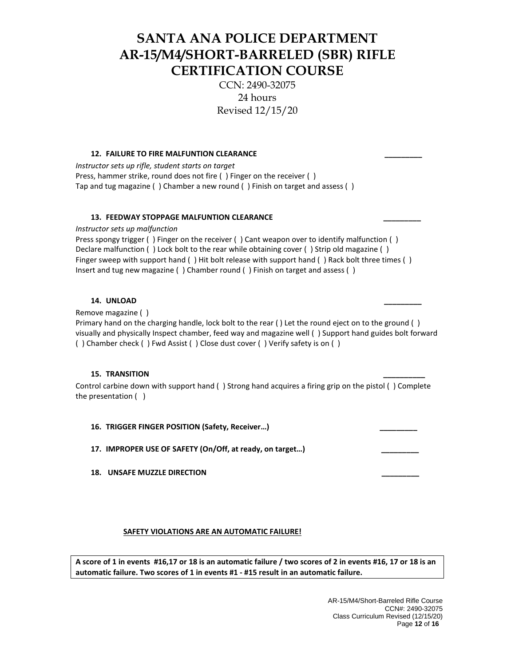CCN: 2490-32075 24 hours Revised 12/15/20

#### 12. **FAILURE TO FIRE MALFUNTION CLEARANCE**

*Instructor sets up rifle, student starts on target* Press, hammer strike, round does not fire ( ) Finger on the receiver ( ) Tap and tug magazine ( ) Chamber a new round ( ) Finish on target and assess ( )

#### **13. FEEDWAY STOPPAGE MALFUNTION CLEARANCE \_\_\_\_\_\_\_\_\_**

*Instructor sets up malfunction*

Press spongy trigger ( ) Finger on the receiver ( ) Cant weapon over to identify malfunction ( ) Declare malfunction ( ) Lock bolt to the rear while obtaining cover ( ) Strip old magazine ( ) Finger sweep with support hand ( ) Hit bolt release with support hand ( ) Rack bolt three times ( ) Insert and tug new magazine ( ) Chamber round ( ) Finish on target and assess ( )

#### **14. UNLOAD \_\_\_\_\_\_\_\_\_**

Remove magazine ( )

Primary hand on the charging handle, lock bolt to the rear ( ) Let the round eject on to the ground ( ) visually and physically Inspect chamber, feed way and magazine well ( ) Support hand guides bolt forward ( ) Chamber check ( ) Fwd Assist ( ) Close dust cover ( ) Verify safety is on ( )

#### **15. TRANSITION \_\_\_\_\_\_\_\_\_\_**

Control carbine down with support hand ( ) Strong hand acquires a firing grip on the pistol ( ) Complete the presentation ( )

16. **TRIGGER FINGER POSITION (Safety, Receiver...)** 

17. **IMPROPER USE OF SAFETY (On/Off, at ready, on target...)** 

18. UNSAFE MUZZLE DIRECTION

#### **SAFETY VIOLATIONS ARE AN AUTOMATIC FAILURE!**

**A score of 1 in events #16,17 or 18 is an automatic failure / two scores of 2 in events #16, 17 or 18 is an automatic failure. Two scores of 1 in events #1 - #15 result in an automatic failure.**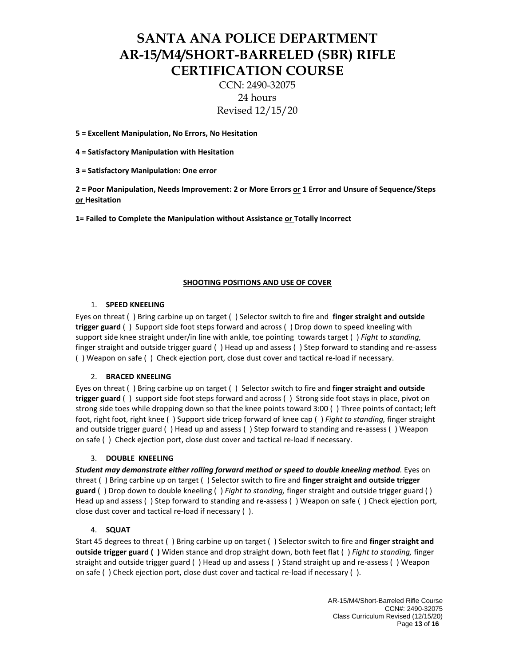CCN: 2490-32075 24 hours Revised 12/15/20

**5 = Excellent Manipulation, No Errors, No Hesitation**

**4 = Satisfactory Manipulation with Hesitation**

**3 = Satisfactory Manipulation: One error** 

**2 = Poor Manipulation, Needs Improvement: 2 or More Errors or 1 Error and Unsure of Sequence/Steps or Hesitation**

**1= Failed to Complete the Manipulation without Assistance or Totally Incorrect**

#### **SHOOTING POSITIONS AND USE OF COVER**

#### 1. **SPEED KNEELING**

Eyes on threat ( ) Bring carbine up on target ( ) Selector switch to fire and **finger straight and outside trigger guard** ( ) Support side foot steps forward and across ( ) Drop down to speed kneeling with support side knee straight under/in line with ankle, toe pointing towards target ( ) *Fight to standing,* finger straight and outside trigger guard ( ) Head up and assess ( ) Step forward to standing and re-assess ( ) Weapon on safe ( ) Check ejection port, close dust cover and tactical re-load if necessary.

#### 2. **BRACED KNEELING**

Eyes on threat ( ) Bring carbine up on target ( ) Selector switch to fire and **finger straight and outside trigger guard** ( ) support side foot steps forward and across ( ) Strong side foot stays in place, pivot on strong side toes while dropping down so that the knee points toward 3:00 ( ) Three points of contact; left foot, right foot, right knee ( ) Support side tricep forward of knee cap ( ) *Fight to standing,* finger straight and outside trigger guard ( ) Head up and assess ( ) Step forward to standing and re-assess ( ) Weapon on safe ( ) Check ejection port, close dust cover and tactical re-load if necessary.

#### 3. **DOUBLE KNEELING**

*Student may demonstrate either rolling forward method or speed to double kneeling method.* Eyes on threat ( ) Bring carbine up on target ( ) Selector switch to fire and **finger straight and outside trigger guard** ( ) Drop down to double kneeling ( ) *Fight to standing,* finger straight and outside trigger guard ( ) Head up and assess ( ) Step forward to standing and re-assess ( ) Weapon on safe ( ) Check ejection port, close dust cover and tactical re-load if necessary ( ).

#### 4. **SQUAT**

Start 45 degrees to threat ( ) Bring carbine up on target ( ) Selector switch to fire and **finger straight and outside trigger guard ( )** Widen stance and drop straight down, both feet flat ( ) *Fight to standing,* finger straight and outside trigger guard ( ) Head up and assess ( ) Stand straight up and re-assess ( ) Weapon on safe ( ) Check ejection port, close dust cover and tactical re-load if necessary ( ).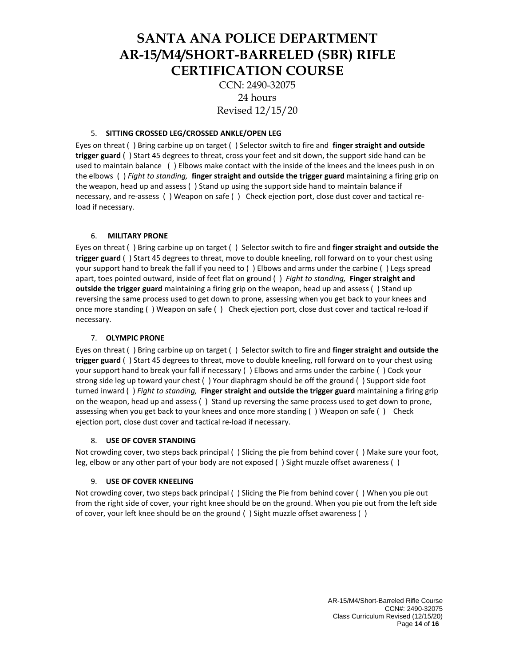CCN: 2490-32075 24 hours Revised 12/15/20

#### 5. **SITTING CROSSED LEG/CROSSED ANKLE/OPEN LEG**

Eyes on threat ( ) Bring carbine up on target ( ) Selector switch to fire and **finger straight and outside trigger guard** ( ) Start 45 degrees to threat, cross your feet and sit down, the support side hand can be used to maintain balance ( ) Elbows make contact with the inside of the knees and the knees push in on the elbows ( ) *Fight to standing,* **finger straight and outside the trigger guard** maintaining a firing grip on the weapon, head up and assess ( ) Stand up using the support side hand to maintain balance if necessary, and re-assess ( ) Weapon on safe ( ) Check ejection port, close dust cover and tactical reload if necessary.

#### 6. **MILITARY PRONE**

Eyes on threat ( ) Bring carbine up on target ( ) Selector switch to fire and **finger straight and outside the trigger guard** ( ) Start 45 degrees to threat, move to double kneeling, roll forward on to your chest using your support hand to break the fall if you need to ( ) Elbows and arms under the carbine ( ) Legs spread apart, toes pointed outward, inside of feet flat on ground ( ) *Fight to standing,* **Finger straight and outside the trigger guard** maintaining a firing grip on the weapon, head up and assess ( ) Stand up reversing the same process used to get down to prone, assessing when you get back to your knees and once more standing ( ) Weapon on safe ( ) Check ejection port, close dust cover and tactical re-load if necessary.

#### 7. **OLYMPIC PRONE**

Eyes on threat ( ) Bring carbine up on target ( ) Selector switch to fire and **finger straight and outside the trigger guard** ( ) Start 45 degrees to threat, move to double kneeling, roll forward on to your chest using your support hand to break your fall if necessary ( ) Elbows and arms under the carbine ( ) Cock your strong side leg up toward your chest ( ) Your diaphragm should be off the ground ( ) Support side foot turned inward ( ) *Fight to standing,* **Finger straight and outside the trigger guard** maintaining a firing grip on the weapon, head up and assess ( ) Stand up reversing the same process used to get down to prone, assessing when you get back to your knees and once more standing () Weapon on safe () Check ejection port, close dust cover and tactical re-load if necessary.

#### 8. **USE OF COVER STANDING**

Not crowding cover, two steps back principal ( ) Slicing the pie from behind cover ( ) Make sure your foot, leg, elbow or any other part of your body are not exposed ( ) Sight muzzle offset awareness ( )

#### 9. **USE OF COVER KNEELING**

Not crowding cover, two steps back principal ( ) Slicing the Pie from behind cover ( ) When you pie out from the right side of cover, your right knee should be on the ground. When you pie out from the left side of cover, your left knee should be on the ground ( ) Sight muzzle offset awareness ( )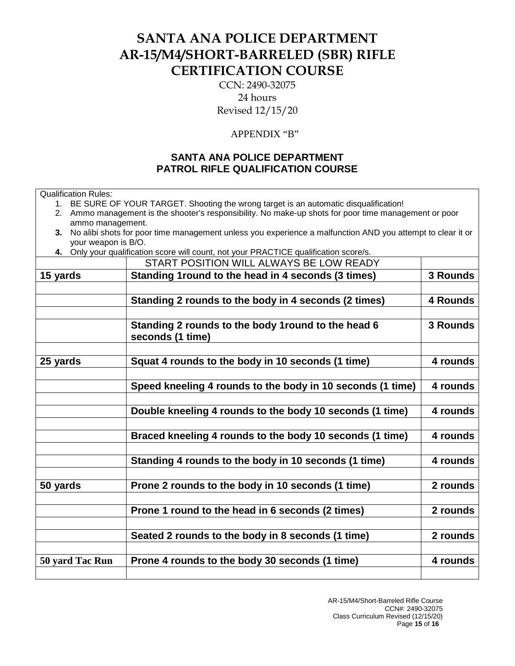CCN: 2490-32075 24 hours Revised 12/15/20

### APPENDIX "B"

## **SANTA ANA POLICE DEPARTMENT PATROL RIFLE QUALIFICATION COURSE**

1. BE SURE OF YOUR TARGET. Shooting the wrong target is an automatic disqualification!

Qualification Rules:

|                        | 2. Ammo management is the shooter's responsibility. No make-up shots for poor time management or poor      |          |
|------------------------|------------------------------------------------------------------------------------------------------------|----------|
| ammo management.<br>3. | No alibi shots for poor time management unless you experience a malfunction AND you attempt to clear it or |          |
| your weapon is B/O.    |                                                                                                            |          |
|                        | 4. Only your qualification score will count, not your PRACTICE qualification score/s.                      |          |
|                        | START POSITION WILL ALWAYS BE LOW READY                                                                    |          |
| 15 yards               | Standing 1 round to the head in 4 seconds (3 times)                                                        | 3 Rounds |
|                        |                                                                                                            |          |
|                        | Standing 2 rounds to the body in 4 seconds (2 times)                                                       | 4 Rounds |
|                        |                                                                                                            |          |
|                        | Standing 2 rounds to the body 1 round to the head 6<br>seconds (1 time)                                    | 3 Rounds |
|                        |                                                                                                            |          |
| 25 yards               | Squat 4 rounds to the body in 10 seconds (1 time)                                                          | 4 rounds |
|                        |                                                                                                            |          |
|                        | Speed kneeling 4 rounds to the body in 10 seconds (1 time)                                                 | 4 rounds |
|                        |                                                                                                            |          |
|                        | Double kneeling 4 rounds to the body 10 seconds (1 time)                                                   | 4 rounds |
|                        |                                                                                                            |          |
|                        | Braced kneeling 4 rounds to the body 10 seconds (1 time)                                                   | 4 rounds |
|                        |                                                                                                            |          |
|                        | Standing 4 rounds to the body in 10 seconds (1 time)                                                       | 4 rounds |
|                        |                                                                                                            |          |
| 50 yards               | Prone 2 rounds to the body in 10 seconds (1 time)                                                          | 2 rounds |
|                        |                                                                                                            |          |
|                        | Prone 1 round to the head in 6 seconds (2 times)                                                           | 2 rounds |
|                        |                                                                                                            |          |
|                        | Seated 2 rounds to the body in 8 seconds (1 time)                                                          | 2 rounds |
|                        |                                                                                                            |          |
| 50 yard Tac Run        | Prone 4 rounds to the body 30 seconds (1 time)                                                             | 4 rounds |
|                        |                                                                                                            |          |
|                        |                                                                                                            |          |